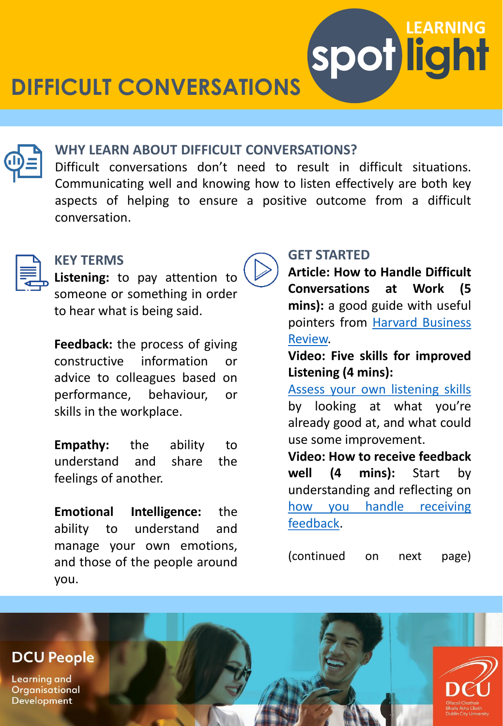**DIFFICULT CONVERSATIONS**



#### **WHY LEARN ABOUT DIFFICULT CONVERSATIONS?**

Difficult conversations don't need to result in difficult situations. Communicating well and knowing how to listen effectively are both key aspects of helping to ensure a positive outcome from a difficult conversation.



#### **KEY TERMS**

**Listening:** to pay attention to someone or something in order to hear what is being said.

**Feedback:** the process of giving constructive information or advice to colleagues based on performance, behaviour, or skills in the workplace.

**Empathy:** the ability to understand and share the feelings of another.

**Emotional Intelligence:** the ability to understand and manage your own emotions, and those of the people around you.

### **GET STARTED**

**Article: How to Handle Difficult Conversations at Work (5 mins):** a good guide with useful pointers from Harvard [Business](https://hbr.org/2015/01/how-to-handle-difficult-conversations-at-work) Review.

**spot light**

**LEARNING**

**Video: Five skills for improved Listening (4 mins):**

Assess your own [listening](https://www.linkedin.com/learning-login/share?account=2372722&forceAccount=false&redirect=https://www.linkedin.com/learning/effective-listening/five-skills-for-improved-listening?trk%3Dshare_video_url%26shareId%3DRUud2KFQQh6OCMdwXwx6zQ%3D%3D) skills by looking at what you're already good at, and what could use some improvement.

**Video: How to receive feedback well (4 mins):** Start by understanding and reflecting on how you handle receiving [feedback.](https://www.linkedin.com/learning-login/share?account=2372722&forceAccount=false&redirect=https://www.linkedin.com/learning/giving-and-receiving-feedback/create-a-growth-mindset-with-feedback-2?trk%3Dshare_video_url%26shareId%3DO3PHR6wIRy6xZuWTq6tO5g%3D%3D)

(continued on next page)